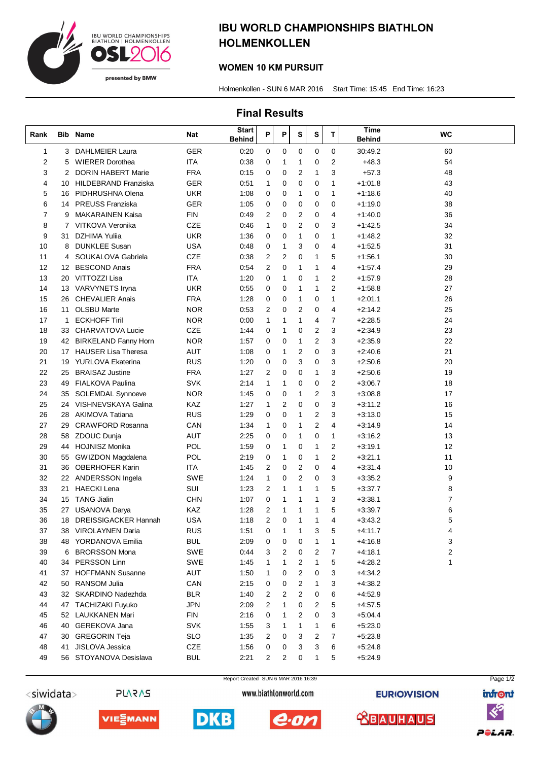

# IBU WORLD CHAMPIONSHIPS BIATHLON HOLMENKOLLEN

#### WOMEN 10 KM PURSUIT

Holmenkollen - SUN 6 MAR 2016 Start Time: 15:45 End Time: 16:23

### Final Results

| Rank        |                   | <b>Bib Name</b>             | Nat        | <b>Start</b><br><b>Behind</b> | P              | Ρ            | S              | S              | T              | Time<br><b>Behind</b> | <b>WC</b> |
|-------------|-------------------|-----------------------------|------------|-------------------------------|----------------|--------------|----------------|----------------|----------------|-----------------------|-----------|
| $\mathbf 1$ |                   | 3 DAHLMEIER Laura           | <b>GER</b> | 0:20                          | 0              | 0            | 0              | 0              | 0              | 30:49.2               | 60        |
| 2           | 5                 | <b>WIERER Dorothea</b>      | <b>ITA</b> | 0:38                          | 0              | 1            | 1              | 0              | 2              | $+48.3$               | 54        |
| 3           | 2                 | <b>DORIN HABERT Marie</b>   | <b>FRA</b> | 0:15                          | 0              | 0            | 2              | $\mathbf{1}$   | 3              | $+57.3$               | 48        |
| 4           | 10                | HILDEBRAND Franziska        | <b>GER</b> | 0:51                          | $\mathbf{1}$   | 0            | 0              | 0              | $\mathbf{1}$   | $+1:01.8$             | 43        |
| 5           | 16                | PIDHRUSHNA Olena            | UKR        | 1:08                          | 0              | 0            | 1              | 0              | 1              | $+1:18.6$             | 40        |
| 6           | 14                | <b>PREUSS Franziska</b>     | GER        | 1:05                          | 0              | 0            | 0              | 0              | 0              | $+1:19.0$             | 38        |
| 7           | 9                 | <b>MAKARAINEN Kaisa</b>     | <b>FIN</b> | 0:49                          | $\overline{2}$ | 0            | 2              | 0              | 4              | $+1:40.0$             | 36        |
| 8           | 7                 | VITKOVA Veronika            | CZE        | 0:46                          | $\mathbf{1}$   | 0            | 2              | 0              | 3              | $+1:42.5$             | 34        |
| 9           | 31                | <b>DZHIMA Yulija</b>        | <b>UKR</b> | 1:36                          | 0              | 0            | 1              | 0              | $\mathbf{1}$   | $+1:48.2$             | 32        |
| 10          | 8                 | <b>DUNKLEE Susan</b>        | USA        | 0:48                          | 0              | 1            | 3              | 0              | 4              | $+1:52.5$             | 31        |
| 11          | 4                 | SOUKALOVA Gabriela          | <b>CZE</b> | 0:38                          | 2              | 2            | 0              | $\mathbf{1}$   | 5              | $+1:56.1$             | 30        |
| 12          | $12 \overline{ }$ | <b>BESCOND Anais</b>        | <b>FRA</b> | 0:54                          | $\overline{2}$ | 0            | 1              | $\mathbf{1}$   | 4              | $+1.57.4$             | 29        |
| 13          |                   | 20 VITTOZZI Lisa            | <b>ITA</b> | 1:20                          | 0              | 1            | 0              | 1              | 2              | $+1.57.9$             | 28        |
| 14          | 13                | VARVYNETS Iryna             | <b>UKR</b> | 0:55                          | 0              | 0            | 1              | 1              | $\overline{2}$ | $+1:58.8$             | 27        |
| 15          | 26                | <b>CHEVALIER Anais</b>      | <b>FRA</b> | 1:28                          | 0              | 0            | 1              | 0              | $\mathbf{1}$   | $+2:01.1$             | 26        |
| 16          | 11                | <b>OLSBU Marte</b>          | <b>NOR</b> | 0:53                          | $\overline{2}$ | 0            | $\overline{2}$ | 0              | 4              | $+2:14.2$             | 25        |
| 17          | 1                 | <b>ECKHOFF Tiril</b>        | <b>NOR</b> | 0:00                          | $\mathbf{1}$   | 1            | 1              | 4              | $\overline{7}$ | $+2:28.5$             | 24        |
| 18          | 33                | CHARVATOVA Lucie            | <b>CZE</b> | 1:44                          | 0              | 1            | 0              | 2              | 3              | $+2:34.9$             | 23        |
| 19          | 42                | <b>BIRKELAND Fanny Horn</b> | <b>NOR</b> | 1:57                          | 0              | 0            | 1              | $\overline{2}$ | 3              | $+2:35.9$             | 22        |
| 20          | 17                | <b>HAUSER Lisa Theresa</b>  | <b>AUT</b> | 1:08                          | 0              | 1            | 2              | 0              | 3              | $+2:40.6$             | 21        |
| 21          | 19                | <b>YURLOVA Ekaterina</b>    | <b>RUS</b> | 1:20                          | 0              | 0            | 3              | 0              | 3              | $+2:50.6$             | 20        |
| 22          | 25                | <b>BRAISAZ Justine</b>      | <b>FRA</b> | 1:27                          | 2              | 0            | 0              | $\mathbf 1$    | 3              | $+2:50.6$             | 19        |
| 23          | 49                | <b>FIALKOVA Paulina</b>     | SVK        | 2:14                          | $\mathbf{1}$   | 1            | 0              | 0              | 2              | $+3:06.7$             | 18        |
| 24          | 35                | <b>SOLEMDAL Synnoeve</b>    | <b>NOR</b> | 1:45                          | 0              | 0            | 1              | 2              | 3              | $+3.08.8$             | 17        |
| 25          | 24                | VISHNEVSKAYA Galina         | KAZ        | 1:27                          | 1              | 2            | 0              | 0              | 3              | $+3:11.2$             | 16        |
| 26          | 28                | <b>AKIMOVA Tatiana</b>      | <b>RUS</b> | 1:29                          | 0              | $\mathbf 0$  | 1              | 2              | 3              | $+3:13.0$             | 15        |
| 27          | 29                | <b>CRAWFORD Rosanna</b>     | CAN        | 1:34                          | $\mathbf{1}$   | 0            | $\mathbf{1}$   | 2              | 4              | $+3:14.9$             | 14        |
| 28          | 58                | ZDOUC Dunja                 | AUT        | 2:25                          | 0              | 0            | 1              | 0              | 1              | $+3:16.2$             | 13        |
| 29          | 44                | <b>HOJNISZ Monika</b>       | POL        | 1:59                          | 0              | 1            | 0              | $\mathbf{1}$   | $\overline{2}$ | $+3:19.1$             | 12        |
| 30          | 55                | <b>GWIZDON Magdalena</b>    | POL        | 2:19                          | 0              | 1            | 0              | $\mathbf{1}$   | $\overline{2}$ | $+3:21.1$             | 11        |
| 31          | 36                | <b>OBERHOFER Karin</b>      | ITA        | 1:45                          | $\overline{2}$ | 0            | 2              | 0              | 4              | $+3:31.4$             | 10        |
| 32          |                   | 22 ANDERSSON Ingela         | SWE        | 1:24                          | $\mathbf{1}$   | 0            | 2              | 0              | 3              | $+3:35.2$             | 9         |
| 33          | 21                | <b>HAECKI Lena</b>          | SUI        | 1:23                          | $\overline{2}$ | 1            | $\mathbf{1}$   | $\mathbf{1}$   | 5              | $+3.37.7$             | 8         |
| 34          |                   | 15 TANG Jialin              | <b>CHN</b> | 1:07                          | 0              | 1            | 1              | 1              | 3              | $+3:38.1$             | 7         |
| 35          | 27                | <b>USANOVA Darya</b>        | KAZ        | 1:28                          | 2              | $\mathbf{1}$ | 1              | 1              | 5              | $+3.39.7$             | 6         |
| 36          | 18                | <b>DREISSIGACKER Hannah</b> | <b>USA</b> | 1:18                          | 2              | $\mathbf 0$  | $\mathbf 1$    | 1              | 4              | $+3:43.2$             | 5         |
| 37          | 38                | VIROLAYNEN Daria            | <b>RUS</b> | 1:51                          | 0              | 1            | 1              | 3              | 5              | $+4:11.7$             | 4         |
| 38          | 48                | YORDANOVA Emilia            | <b>BUL</b> | 2:09                          | 0              | 0            | 0              | $\mathbf{1}$   | 1              | $+4.16.8$             | 3         |
| 39          | 6                 | <b>BRORSSON Mona</b>        | <b>SWE</b> | 0:44                          | 3              | 2            | 0              | 2              | 7              | $+4:18.1$             | 2         |
| 40          | 34                | PERSSON Linn                | SWE        | 1:45                          | 1              | 1            | 2              | 1              | 5              | $+4:28.2$             | 1         |
| 41          | 37                | <b>HOFFMANN Susanne</b>     | AUT        | 1:50                          | 1              | 0            | 2              | 0              | 3              | $+4.34.2$             |           |
| 42          | 50                | RANSOM Julia                | CAN        | 2:15                          | 0              | 0            | 2              | 1              | 3              | $+4.38.2$             |           |
| 43          | 32                | SKARDINO Nadezhda           | <b>BLR</b> | 1:40                          | 2              | 2            | 2              | 0              | 6              | $+4.52.9$             |           |
| 44          | 47                | <b>TACHIZAKI Fuyuko</b>     | <b>JPN</b> | 2:09                          | 2              | 1            | 0              | 2              | 5              | $+4.57.5$             |           |
| 45          | 52                | LAUKKANEN Mari              | <b>FIN</b> | 2:16                          | 0              | 1            | 2              | 0              | 3              | $+5:04.4$             |           |
| 46          | 40                | GEREKOVA Jana               | <b>SVK</b> | 1:55                          | 3              | 1            | 1              | 1              | 6              | $+5:23.0$             |           |
| 47          | 30                | <b>GREGORIN Teja</b>        | <b>SLO</b> | 1:35                          | 2              | 0            | 3              | 2              | 7              | $+5:23.8$             |           |
| 48          | 41                | JISLOVA Jessica             | CZE        | 1:56                          | 0              | 0            | 3              | 3              | 6              | $+5:24.8$             |           |
| 49          |                   | 56 STOYANOVA Desislava      | <b>BUL</b> | 2:21                          | 2              | 2            | 0              | 1              | 5              | $+5:24.9$             |           |
|             |                   |                             |            |                               |                |              |                |                |                |                       |           |



**SV2V72** 

VIE⋛MANN



DKB





**EURIO)VISION**